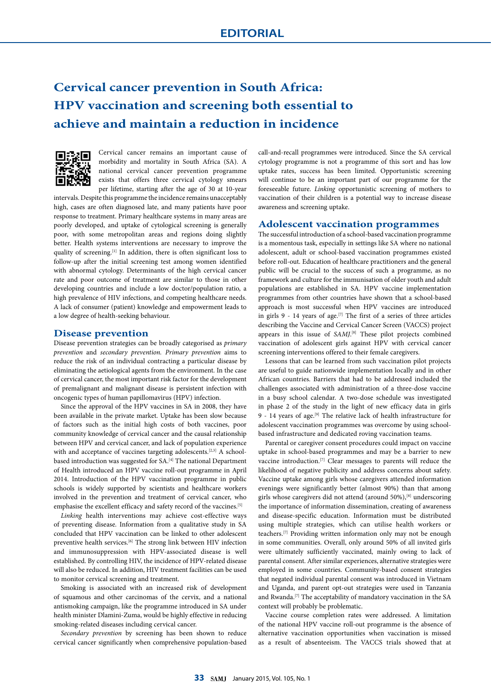# **Cervical cancer prevention in South Africa: HPV vaccination and screening both essential to achieve and maintain a reduction in incidence**



Cervical cancer remains an important cause of morbidity and mortality in South Africa (SA). A national cervical cancer prevention programme exists that offers three cervical cytology smears per lifetime, starting after the age of 30 at 10-year

intervals. Despite this programme the incidence remains unacceptably high, cases are often diagnosed late, and many patients have poor response to treatment. Primary healthcare systems in many areas are poorly developed, and uptake of cytological screening is generally poor, with some metropolitan areas and regions doing slightly better. Health systems interventions are necessary to improve the quality of screening.[1] In addition, there is often significant loss to follow-up after the initial screening test among women identified with abnormal cytology. Determinants of the high cervical cancer rate and poor outcome of treatment are similar to those in other developing countries and include a low doctor/population ratio, a high prevalence of HIV infections, and competing healthcare needs. A lack of consumer (patient) knowledge and empowerment leads to a low degree of health-seeking behaviour.

#### **Disease prevention**

Disease prevention strategies can be broadly categorised as *primary prevention* and *secondary prevention. Primary prevention* aims to reduce the risk of an individual contracting a particular disease by eliminating the aetiological agents from the environment. In the case of cervical cancer, the most important risk factor for the development of premalignant and malignant disease is persistent infection with oncogenic types of human papillomavirus (HPV) infection.

Since the approval of the HPV vaccines in SA in 2008, they have been available in the private market. Uptake has been slow because of factors such as the initial high costs of both vaccines, poor community knowledge of cervical cancer and the causal relationship between HPV and cervical cancer, and lack of population experience with and acceptance of vaccines targeting adolescents.<sup>[2,3]</sup> A schoolbased introduction was suggested for  $\text{SA.}^{[4]}$  The national Department of Health introduced an HPV vaccine roll-out programme in April 2014. Introduction of the HPV vaccination programme in public schools is widely supported by scientists and healthcare workers involved in the prevention and treatment of cervical cancer, who emphasise the excellent efficacy and safety record of the vaccines.[5]

*Linking* health interventions may achieve cost-effective ways of preventing disease. Information from a qualitative study in SA concluded that HPV vaccination can be linked to other adolescent preventive health services.<sup>[6]</sup> The strong link between HIV infection and immunosuppression with HPV-associated disease is well established. By controlling HIV, the incidence of HPV-related disease will also be reduced. In addition, HIV treatment facilities can be used to monitor cervical screening and treatment.

Smoking is associated with an increased risk of development of squamous and other carcinomas of the cervix, and a national antismoking campaign, like the programme introduced in SA under health minister Dlamini-Zuma, would be highly effective in reducing smoking-related diseases including cervical cancer.

*Secondary prevention* by screening has been shown to reduce cervical cancer significantly when comprehensive population-based call-and-recall programmes were introduced. Since the SA cervical cytology programme is not a programme of this sort and has low uptake rates, success has been limited. Opportunistic screening will continue to be an important part of our programme for the foreseeable future. *Linking* opportunistic screening of mothers to vaccination of their children is a potential way to increase disease awareness and screening uptake.

#### **Adolescent vaccination programmes**

The successful introduction of a school-based vaccination programme is a momentous task, especially in settings like SA where no national adolescent, adult or school-based vaccination programmes existed before roll-out. Education of healthcare practitioners and the general public will be crucial to the success of such a programme, as no framework and culture for the immunisation of older youth and adult populations are established in SA. HPV vaccine implementation programmes from other countries have shown that a school-based approach is most successful when HPV vaccines are introduced in girls 9 - 14 years of age.<sup>[7]</sup> The first of a series of three articles describing the Vaccine and Cervical Cancer Screen (VACCS) project appears in this issue of SAMJ.<sup>[8]</sup> These pilot projects combined vaccination of adolescent girls against HPV with cervical cancer screening interventions offered to their female caregivers.

Lessons that can be learned from such vaccination pilot projects are useful to guide nationwide implementation locally and in other African countries. Barriers that had to be addressed included the challenges associated with administration of a three-dose vaccine in a busy school calendar. A two-dose schedule was investigated in phase 2 of the study in the light of new efficacy data in girls 9 - 14 years of age.[9] The relative lack of health infrastructure for adolescent vaccination programmes was overcome by using schoolbased infrastructure and dedicated roving vaccination teams.

Parental or caregiver consent procedures could impact on vaccine uptake in school-based programmes and may be a barrier to new vaccine introduction.[7] Clear messages to parents will reduce the likelihood of negative publicity and address concerns about safety. Vaccine uptake among girls whose caregivers attended information evenings were significantly better (almost 90%) than that among girls whose caregivers did not attend (around 50%),[8] underscoring the importance of information dissemination, creating of awareness and disease-specific education. Information must be distributed using multiple strategies, which can utilise health workers or teachers.[7] Providing written information only may not be enough in some communities. Overall, only around 50% of all invited girls were ultimately sufficiently vaccinated, mainly owing to lack of parental consent. After similar experiences, alternative strategies were employed in some countries. Community-based consent strategies that negated individual parental consent was introduced in Vietnam and Uganda, and parent opt-out strategies were used in Tanzania and Rwanda.[7] The acceptability of mandatory vaccination in the SA context will probably be problematic.

Vaccine course completion rates were addressed. A limitation of the national HPV vaccine roll-out programme is the absence of alternative vaccination opportunities when vaccination is missed as a result of absenteeism. The VACCS trials showed that at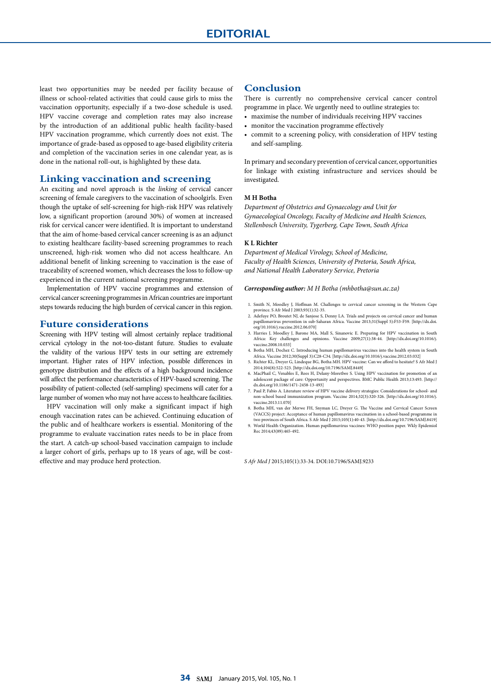# **EDITORIAL**

least two opportunities may be needed per facility because of illness or school-related activities that could cause girls to miss the vaccination opportunity, especially if a two-dose schedule is used. HPV vaccine coverage and completion rates may also increase by the introduction of an additional public health facility-based HPV vaccination programme, which currently does not exist. The importance of grade-based as opposed to age-based eligibility criteria and completion of the vaccination series in one calendar year, as is done in the national roll-out, is highlighted by these data.

### **Linking vaccination and screening**

An exciting and novel approach is the *linking* of cervical cancer screening of female caregivers to the vaccination of schoolgirls. Even though the uptake of self-screening for high-risk HPV was relatively low, a significant proportion (around 30%) of women at increased risk for cervical cancer were identified. It is important to understand that the aim of home-based cervical cancer screening is as an adjunct to existing healthcare facility-based screening programmes to reach unscreened, high-risk women who did not access healthcare. An additional benefit of linking screening to vaccination is the ease of traceability of screened women, which decreases the loss to follow-up experienced in the current national screening programme.

Implementation of HPV vaccine programmes and extension of cervical cancer screening programmes in African countries are important steps towards reducing the high burden of cervical cancer in this region.

### **Future considerations**

Screening with HPV testing will almost certainly replace traditional cervical cytology in the not-too-distant future. Studies to evaluate the validity of the various HPV tests in our setting are extremely important. Higher rates of HPV infection, possible differences in genotype distribution and the effects of a high background incidence will affect the performance characteristics of HPV-based screening. The possibility of patient-collected (self-sampling) specimens will cater for a large number of women who may not have access to healthcare facilities.

HPV vaccination will only make a significant impact if high enough vaccination rates can be achieved. Continuing education of the public and of healthcare workers is essential. Monitoring of the programme to evaluate vaccination rates needs to be in place from the start. A catch-up school-based vaccination campaign to include a larger cohort of girls, perhaps up to 18 years of age, will be costeffective and may produce herd protection.

## **Conclusion**

There is currently no comprehensive cervical cancer control programme in place. We urgently need to outline strategies to:

- maximise the number of individuals receiving HPV vaccines
- monitor the vaccination programme effectively
- commit to a screening policy, with consideration of HPV testing and self-sampling.

In primary and secondary prevention of cervical cancer, opportunities for linkage with existing infrastructure and services should be investigated.

#### **M H Botha**

*Department of Obstetrics and Gynaecology and Unit for Gynaecological Oncology, Faculty of Medicine and Health Sciences, Stellenbosch University, Tygerberg, Cape Town, South Africa*

#### **K L Richter**

*Department of Medical Virology, School of Medicine, Faculty of Health Sciences, University of Pretoria, South Africa, and National Health Laboratory Service, Pretoria*

#### *Corresponding author: M H Botha (mhbotha@sun.ac.za)*

- 1. Smith N, Moodley J, Hoffman M. Challenges to cervical cancer screening in the Western Cape province. S Afr Med J 2003;93(1):32-35.
- 2. Adefuye PO, Broutet NJ, de Sanjose S, Denny LA. Trials and projects on cervical cancer and human papillomavirus prevention in sub-Saharan Africa. Vaccine 2013;31(Suppl 5):F53-F59. [http://dx.doi. org/10.1016/j.vaccine.2012.06.070]
- 3. Harries J, Moodley J, Barone MA, Mall S, Sinanovic E. Preparing for HPV vaccination in South Africa: Key challenges and opinions. Vaccine 2009;27(1):38-44. [http://dx.doi.org/10.1016/j. vaccine.2008.10.033]
- 4. Botha MH, Dochez C. Introducing human papillomavirus vaccines into the health system in South Africa. Vaccine 2012;30(Suppl 3):C28-C34. [http://dx.doi.org/10.1016/j.vaccine.2012.03.032]
- 5. Richter KL, Dreyer G, Lindeque BG, Botha MH. HPV vaccine: Can we afford to hesitate? S Afr Med J 2014;104(8):522-523. [http://dx.doi.org/10.7196/SAMJ.8449]
- 6. MacPhail C, Venables E, Rees H, Delany-Moretlwe S. Using HPV vaccination for promotion of an adolescent package of care: Opportunity and perspectives. BMC Public Health 2013;13:493. [http://
- dx.doi.org/10.1186/1471-2458-13-493] 7. Paul P, Fabio A. Literature review of HPV vaccine delivery strategies: Considerations for school- and non-school based immunization program. Vaccine 2014;32(3):320-326. [http://dx.doi.org/10.1016/j. vaccine.2013.11.070]
- 8. Botha MH, van der Merwe FH, Snyman LC, Dreyer G. The Vaccine and Cervical Cancer Screen (VACCS) project: Acceptance of human papillomavirus vaccination in a school-based programme in
- two provinces of South Africa. S Afr Med J 2015;105(1):40-43. [http://dx.doi.org/10.7196/SAMJ.8419] ation. Human papillomavirus vaccines: WHO position paper. Wkly Epidemiol Rec 2014;43(89):465-492.

*S Afr Med J* 2015;105(1):33-34. DOI:10.7196/SAMJ.9233